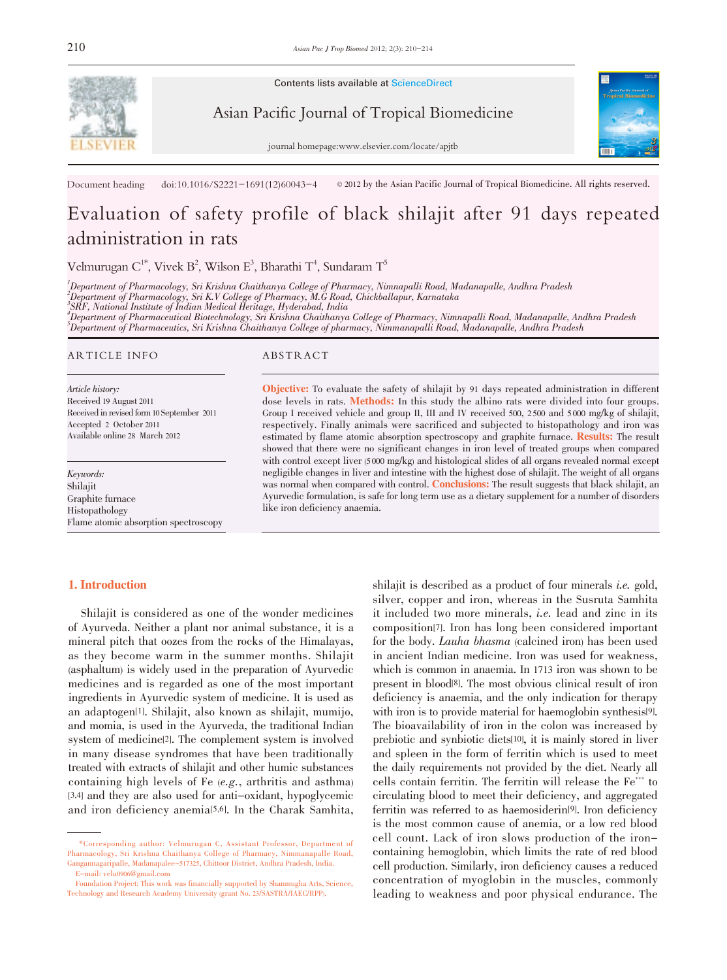

Contents lists available at ScienceDirect

Asian Pacific Journal of Tropical Biomedicine

journal homepage:www.elsevier.com/locate/apjtb



Document heading doi:10.1016/S2221-1691(12)60043-4  $\otimes$  2012 by the Asian Pacific Journal of Tropical Biomedicine. All rights reserved.

# Evaluation of safety profile of black shilajit after 91 days repeated administration in rats

Velmurugan C $^{1*}$ , Vivek  $\text{B}^2$ , Wilson E $^3$ , Bharathi T $^4$ , Sundaram T $^5$ 

1 Department of Pharmacology, Sri Krishna Chaithanya College of Pharmacy, Nimnapalli Road, Madanapalle, Andhra Pradesh

2 Department of Pharmacology, Sri K.V College of Pharmacy, M.G Road, Chickballapur, Karnataka 3 SRF, National Institute of Indian Medical Heritage, Hyderabad, India

4 Department of Pharmaceutical Biotechnology, Sri Krishna Chaithanya College of Pharmacy, Nimnapalli Road, Madanapalle, Andhra Pradesh  $^5$ Department of Pharmaceutics, Sri Krishna Chaithanya College of pharmacy, Nimmanapalli Road, Madanapalle, Andhra Pradesh

#### ARTICLE INFO ABSTRACT

Article history: Received 19 August 2011 Received in revised form 10 September 2011 Accepted 2 October 2011 Available online 28 March 2012

Keywords: Shilajit Graphite furnace Histopathology Flame atomic absorption spectroscopy

## 1. Introduction

Shilajit is considered as one of the wonder medicines of Ayurveda. Neither a plant nor animal substance, it is a mineral pitch that oozes from the rocks of the Himalayas, as they become warm in the summer months. Shilajit (asphaltum) is widely used in the preparation of Ayurvedic medicines and is regarded as one of the most important ingredients in Ayurvedic system of medicine. It is used as an adaptogen[1]. Shilajit, also known as shilajit, mumijo, and momia, is used in the Ayurveda, the traditional Indian system of medicine[2]. The complement system is involved in many disease syndromes that have been traditionally treated with extracts of shilajit and other humic substances containing high levels of Fe (e.g., arthritis and asthma) [3,4] and they are also used for anti-oxidant, hypoglycemic and iron deficiency anemia[5,6]. In the Charak Samhita,

Objective: To evaluate the safety of shilajit by <sup>91</sup> days repeated administration in different dose levels in rats. Methods: In this study the albino rats were divided into four groups. Group I received vehicle and group II, III and IV received 500, 2 500 and 5 000 mg/kg of shilajit, respectively. Finally animals were sacrificed and subjected to histopathology and iron was estimated by flame atomic absorption spectroscopy and graphite furnace. Results: The result showed that there were no significant changes in iron level of treated groups when compared with control except liver (5000 mg/kg) and histological slides of all organs revealed normal except negligible changes in liver and intestine with the highest dose of shilajit. The weight of all organs was normal when compared with control. Conclusions: The result suggests that black shilajit, an Ayurvedic formulation, is safe for long term use as a dietary supplement for a number of disorders like iron deficiency anaemia.

> shilajit is described as a product of four minerals *i.e.* gold, silver, copper and iron, whereas in the Susruta Samhita it included two more minerals, i.e. lead and zinc in its composition[7]. Iron has long been considered important for the body. Lauha bhasma (calcined iron) has been used in ancient Indian medicine. Iron was used for weakness, which is common in anaemia. In 1713 iron was shown to be present in blood[8]. The most obvious clinical result of iron deficiency is anaemia, and the only indication for therapy with iron is to provide material for haemoglobin synthesis<sup>[9]</sup>. The bioavailability of iron in the colon was increased by prebiotic and synbiotic diets[10], it is mainly stored in liver and spleen in the form of ferritin which is used to meet the daily requirements not provided by the diet. Nearly all cells contain ferritin. The ferritin will release the  $Fe<sup>++</sup>$  to circulating blood to meet their deficiency, and aggregated ferritin was referred to as haemosiderin[9]. Iron deficiency is the most common cause of anemia, or a low red blood cell count. Lack of iron slows production of the ironcontaining hemoglobin, which limits the rate of red blood cell production. Similarly, iron deficiency causes a reduced concentration of myoglobin in the muscles, commonly leading to weakness and poor physical endurance. The

<sup>\*</sup>Corresponding author: Velmurugan C, Assistant Professor, Department of Pharmacology, Sri Krishna Chaithanya College of Pharmacy, Nimmanapalle Road, Gangannagaripalle, Madanapalee-517325, Chittoor District, Andhra Pradesh, India. E-mail: velu0906@gmail.com

Foundation Project: This work was financially supported by Shanmugha Arts, Science, Technology and Research Academy University (grant No. 23/SASTRA/IAEC/RPP).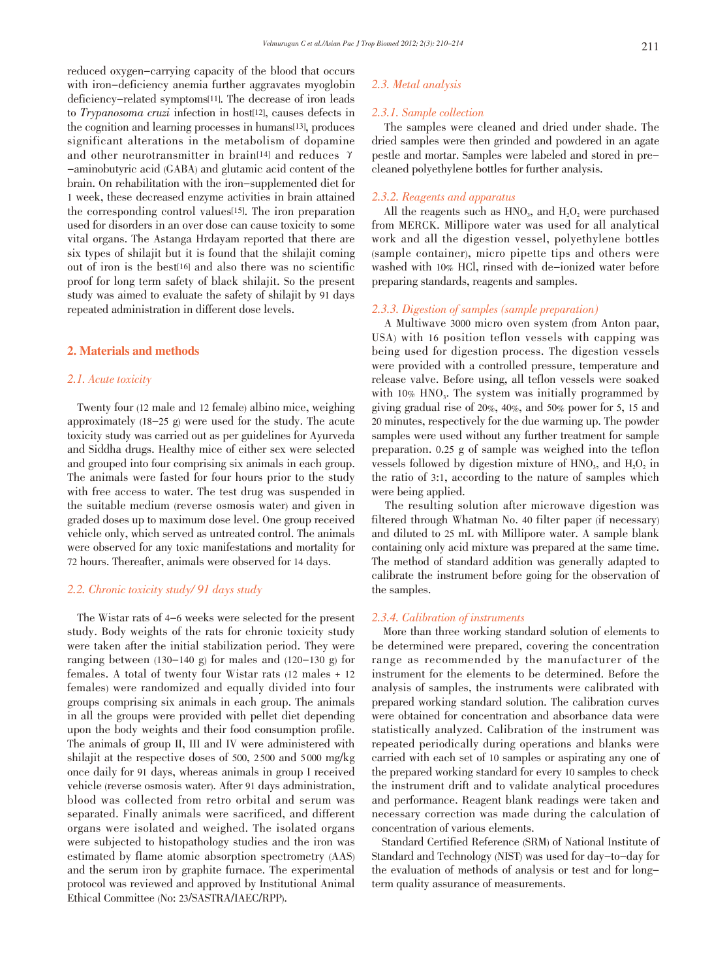reduced oxygen-carrying capacity of the blood that occurs with iron-deficiency anemia further aggravates myoglobin deficiency-related symptoms[11]. The decrease of iron leads to Trypanosoma cruzi infection in host[12], causes defects in the cognition and learning processes in humans[13], produces significant alterations in the metabolism of dopamine and other neurotransmitter in brain[14] and reduces  $\gamma$ -aminobutyric acid (GABA) and glutamic acid content of the brain. On rehabilitation with the iron-supplemented diet for 1 week, these decreased enzyme activities in brain attained the corresponding control values[15]. The iron preparation used for disorders in an over dose can cause toxicity to some vital organs. The Astanga Hrdayam reported that there are six types of shilajit but it is found that the shilajit coming out of iron is the best[16] and also there was no scientific proof for long term safety of black shilajit. So the present study was aimed to evaluate the safety of shilajit by 91 days repeated administration in different dose levels.

#### 2. Materials and methods

## 2.1. Acute toxicity

Twenty four (12 male and 12 female) albino mice, weighing approximately (18-25 g) were used for the study. The acute toxicity study was carried out as per guidelines for Ayurveda and Siddha drugs. Healthy mice of either sex were selected and grouped into four comprising six animals in each group. The animals were fasted for four hours prior to the study with free access to water. The test drug was suspended in the suitable medium (reverse osmosis water) and given in graded doses up to maximum dose level. One group received vehicle only, which served as untreated control. The animals were observed for any toxic manifestations and mortality for 72 hours. Thereafter, animals were observed for 14 days.

## 2.2. Chronic toxicity study/ 91 days study

The Wistar rats of 4-6 weeks were selected for the present study. Body weights of the rats for chronic toxicity study were taken after the initial stabilization period. They were ranging between  $(130-140 \text{ g})$  for males and  $(120-130 \text{ g})$  for females. A total of twenty four Wistar rats (12 males + 12 females) were randomized and equally divided into four groups comprising six animals in each group. The animals in all the groups were provided with pellet diet depending upon the body weights and their food consumption profile. The animals of group II, III and IV were administered with shilajit at the respective doses of 500, 2 500 and 5 000 mg/kg once daily for 91 days, whereas animals in group I received vehicle (reverse osmosis water). After 91 days administration, blood was collected from retro orbital and serum was separated. Finally animals were sacrificed, and different organs were isolated and weighed. The isolated organs were subjected to histopathology studies and the iron was estimated by flame atomic absorption spectrometry (AAS) and the serum iron by graphite furnace. The experimental protocol was reviewed and approved by Institutional Animal Ethical Committee (No: 23/SASTRA/IAEC/RPP).

## 2.3. Metal analysis

#### 2.3.1. Sample collection

The samples were cleaned and dried under shade. The dried samples were then grinded and powdered in an agate pestle and mortar. Samples were labeled and stored in precleaned polyethylene bottles for further analysis.

#### 2.3.2. Reagents and apparatus

All the reagents such as  $HNO<sub>3</sub>$ , and  $H<sub>2</sub>O<sub>2</sub>$  were purchased from MERCK. Millipore water was used for all analytical work and all the digestion vessel, polyethylene bottles (sample container), micro pipette tips and others were washed with 10% HCl, rinsed with de-ionized water before preparing standards, reagents and samples.

## 2.3.3. Digestion of samples (sample preparation)

A Multiwave 3000 micro oven system (from Anton paar, USA) with 16 position teflon vessels with capping was being used for digestion process. The digestion vessels were provided with a controlled pressure, temperature and release valve. Before using, all teflon vessels were soaked with  $10\%$  HNO<sub>3</sub>. The system was initially programmed by giving gradual rise of 20%, 40%, and 50% power for 5, 15 and 20 minutes, respectively for the due warming up. The powder samples were used without any further treatment for sample preparation. 0.25 g of sample was weighed into the teflon vessels followed by digestion mixture of  $HNO<sub>3</sub>$ , and  $H<sub>2</sub>O<sub>2</sub>$  in the ratio of 3:1, according to the nature of samples which were being applied.

The resulting solution after microwave digestion was filtered through Whatman No. 40 filter paper (if necessary) and diluted to 25 mL with Millipore water. A sample blank containing only acid mixture was prepared at the same time. The method of standard addition was generally adapted to calibrate the instrument before going for the observation of the samples.

#### 2.3.4. Calibration of instruments

More than three working standard solution of elements to be determined were prepared, covering the concentration range as recommended by the manufacturer of the instrument for the elements to be determined. Before the analysis of samples, the instruments were calibrated with prepared working standard solution. The calibration curves were obtained for concentration and absorbance data were statistically analyzed. Calibration of the instrument was repeated periodically during operations and blanks were carried with each set of 10 samples or aspirating any one of the prepared working standard for every 10 samples to check the instrument drift and to validate analytical procedures and performance. Reagent blank readings were taken and necessary correction was made during the calculation of concentration of various elements.

Standard Certified Reference (SRM) of National Institute of Standard and Technology (NIST) was used for day-to-day for the evaluation of methods of analysis or test and for longterm quality assurance of measurements.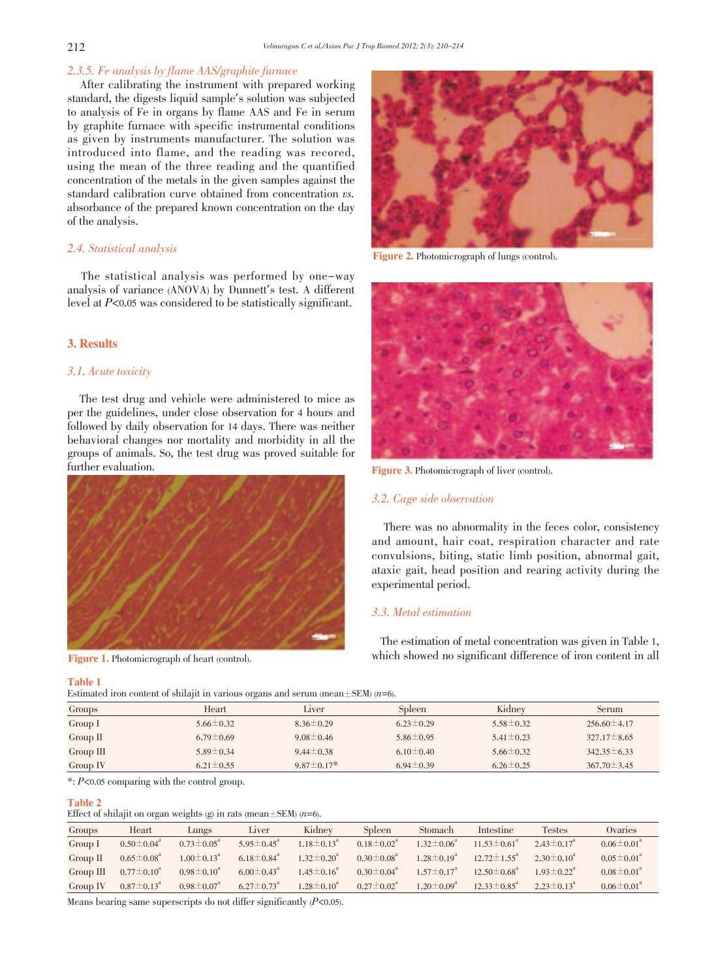## 2.3.5. Fe analysis by flame AAS/graphite furnace

After calibrating the instrument with prepared working standard, the digests liquid sample's solution was subjected to analysis of Fe in organs by flame AAS and Fe in serum by graphite furnace with specific instrumental conditions as given by instruments manufacturer. The solution was introduced into flame, and the reading was recored, using the mean of the three reading and the quantified concentration of the metals in the given samples against the standard calibration curve obtained from concentration vs. absorbance of the prepared known concentration on the day of the analysis.

## 2.4. Statistical analysis

The statistical analysis was performed by one-way analysis of variance (ANOVA) by Dunnett's test. A different level at P<0.05 was considered to be statistically significant.

# 3. Results

## 3.1. Acute toxicity

The test drug and vehicle were administered to mice as per the guidelines, under close observation for 4 hours and followed by daily observation for 14 days. There was neither behavioral changes nor mortality and morbidity in all the groups of animals. So, the test drug was proved suitable for further evaluation.



Figure 1. Photomicrograph of heart (control).

### Table 1

Estimated iron content of shilajit in various organs and serum (mean $\pm$ SEM) (n=6).



Figure 2. Photomicrograph of lungs (control).



Figure 3. Photomicrograph of liver (control).

#### 3.2. Cage side observation

There was no abnormality in the feces color, consistency and amount, hair coat, respiration character and rate convulsions, biting, static limb position, abnormal gait, ataxic gait, head position and rearing activity during the experimental period.

#### 3.3. Metal estimation

The estimation of metal concentration was given in Table 1, which showed no significant difference of iron content in all

| Groups     | Heart           | Liver            | Spleen          | Kidney          | Serum             |
|------------|-----------------|------------------|-----------------|-----------------|-------------------|
| Group I    | $5.66 \pm 0.32$ | $8.36 \pm 0.29$  | $6.23 \pm 0.29$ | $5.58 \pm 0.32$ | $256.60 \pm 4.17$ |
| Group $II$ | $6.79 \pm 0.69$ | $9.08 \pm 0.46$  | $5.86 \pm 0.95$ | $5.41 \pm 0.23$ | $327.17 \pm 8.65$ |
| Group III  | $5.89 \pm 0.34$ | $9.44 \pm 0.38$  | $6.10 \pm 0.40$ | $5.66 \pm 0.32$ | $342.35 \pm 6.33$ |
| Group IV   | $6.21 \pm 0.55$ | $9.87 \pm 0.17*$ | $6.94 \pm 0.39$ | $6.26 \pm 0.25$ | $367.70 \pm 3.45$ |

 $*$ :  $P<0.05$  comparing with the control group.

#### Table 2

Effect of shilajit on organ weights (g) in rats (mean $\pm$ SEM) (n=6).

| Groups      | Heart                        | Lungs                        | Liver                        | Kidney                       | Spleen                     | Stomach                      | Intestine                     | Testes                       | Ovaries                      |
|-------------|------------------------------|------------------------------|------------------------------|------------------------------|----------------------------|------------------------------|-------------------------------|------------------------------|------------------------------|
| Group I     | $0.50\pm0.04^a$              | $0.73 \pm 0.05^{\circ}$      | $5.95 \pm 0.45$ <sup>a</sup> | $1.18 \pm 0.13$ <sup>a</sup> | $0.18 \pm 0.02^{\circ}$    | $1.32 \pm 0.06^{\circ}$      | $11.53 \pm 0.61$ <sup>a</sup> | $2.43 \pm 0.17$ <sup>a</sup> | $0.06 \pm 0.01$ <sup>a</sup> |
| Group $\Pi$ | $0.65\pm0.08^{\mathrm{a}}$   | $1.00 \pm 0.13$ <sup>a</sup> | $6.18 \pm 0.84$ <sup>a</sup> | $1.32 \pm 0.20^a$            | $0.30\pm0.08$ <sup>a</sup> | $1.28 \pm 0.19^a$            | $12.72 \pm 1.55$ <sup>a</sup> | $2.30 \pm 0.10^4$            | $0.05 \pm 0.01$ <sup>a</sup> |
| Group III   | $0.77\pm0.10^a$              | $0.98\pm0.10^a$              | $6.00 \pm 0.43$ <sup>a</sup> | $1.45 \pm 0.16$ <sup>a</sup> | $0.30\pm0.04^a$            | $1.57 \pm 0.17$ <sup>a</sup> | $12.50 \pm 0.68$ <sup>a</sup> | $1.93 \pm 0.22^{\text{a}}$   | $0.08 \pm 0.01$ <sup>a</sup> |
| Group IV    | $0.87 \pm 0.13$ <sup>a</sup> | $0.98 \pm 0.07$ <sup>a</sup> | $6.27 \pm 0.73$ <sup>a</sup> | $1.28 \pm 0.10^4$            | $0.27 \pm 0.02^{\circ}$    | $1.20 \pm 0.09^{\circ}$      | $12.33 \pm 0.85$ <sup>a</sup> | $2.23 \pm 0.13^4$            | $0.06 \pm 0.01$ <sup>a</sup> |

Means bearing same superscripts do not differ significantly  $(P<0.05)$ .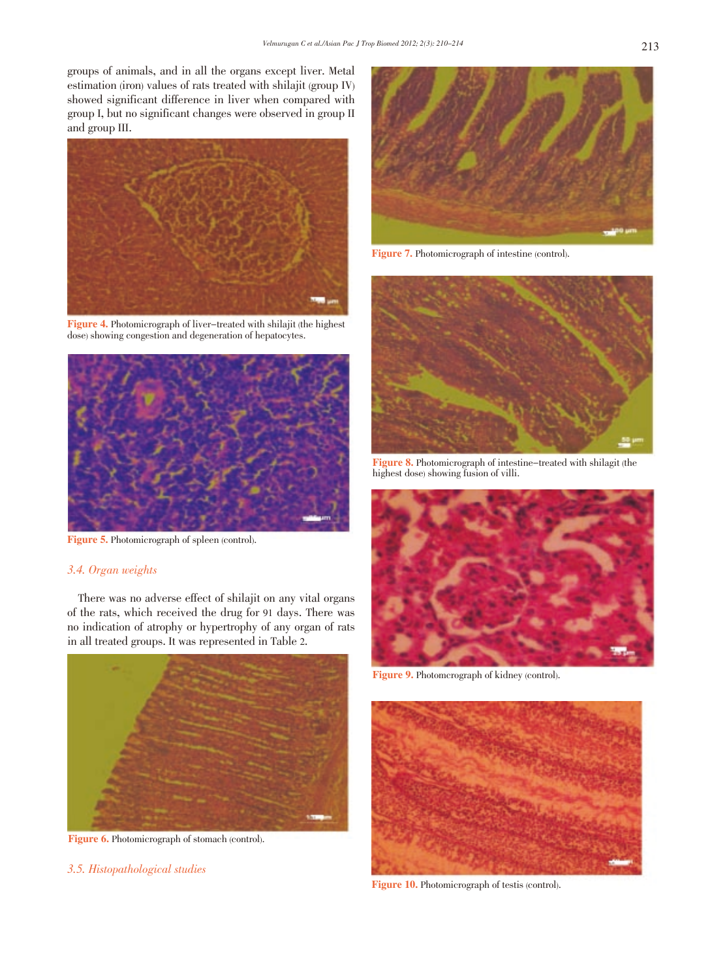groups of animals, and in all the organs except liver. Metal estimation (iron) values of rats treated with shilajit (group IV) showed significant difference in liver when compared with group I, but no significant changes were observed in group II and group III.



Figure 4. Photomicrograph of liver-treated with shilajit (the highest dose) showing congestion and degeneration of hepatocytes.



Figure 5. Photomicrograph of spleen (control).

## 3.4. Organ weights

There was no adverse effect of shilajit on any vital organs of the rats, which received the drug for 91 days. There was no indication of atrophy or hypertrophy of any organ of rats in all treated groups. It was represented in Table 2.



Figure 6. Photomicrograph of stomach (control).

3.5. Histopathological studies



Figure 7. Photomicrograph of intestine (control).



Figure 8. Photomicrograph of intestine-treated with shilagit (the highest dose) showing fusion of villi.



Figure 9. Photomcrograph of kidney (control).



Figure 10. Photomicrograph of testis (control).